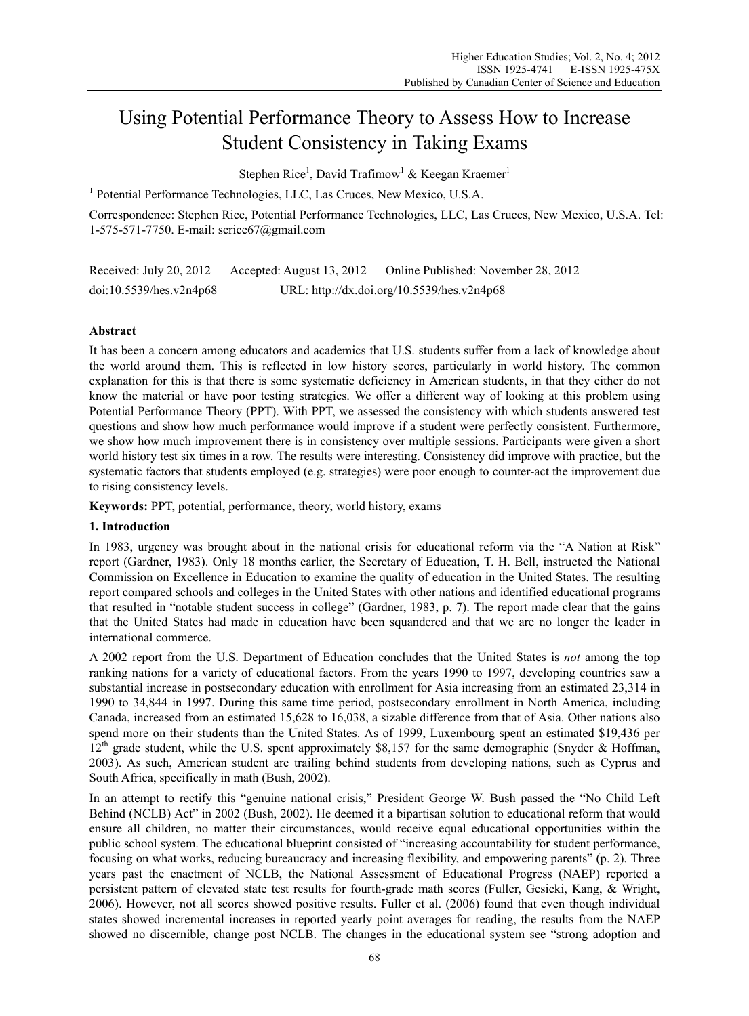# Using Potential Performance Theory to Assess How to Increase Student Consistency in Taking Exams

Stephen Rice<sup>1</sup>, David Trafimow<sup>1</sup> & Keegan Kraemer<sup>1</sup>

<sup>1</sup> Potential Performance Technologies, LLC, Las Cruces, New Mexico, U.S.A.

Correspondence: Stephen Rice, Potential Performance Technologies, LLC, Las Cruces, New Mexico, U.S.A. Tel: 1-575-571-7750. E-mail: scrice67@gmail.com

Received: July 20, 2012 Accepted: August 13, 2012 Online Published: November 28, 2012 doi:10.5539/hes.v2n4p68 URL: http://dx.doi.org/10.5539/hes.v2n4p68

# **Abstract**

It has been a concern among educators and academics that U.S. students suffer from a lack of knowledge about the world around them. This is reflected in low history scores, particularly in world history. The common explanation for this is that there is some systematic deficiency in American students, in that they either do not know the material or have poor testing strategies. We offer a different way of looking at this problem using Potential Performance Theory (PPT). With PPT, we assessed the consistency with which students answered test questions and show how much performance would improve if a student were perfectly consistent. Furthermore, we show how much improvement there is in consistency over multiple sessions. Participants were given a short world history test six times in a row. The results were interesting. Consistency did improve with practice, but the systematic factors that students employed (e.g. strategies) were poor enough to counter-act the improvement due to rising consistency levels.

**Keywords:** PPT, potential, performance, theory, world history, exams

## **1. Introduction**

In 1983, urgency was brought about in the national crisis for educational reform via the "A Nation at Risk" report (Gardner, 1983). Only 18 months earlier, the Secretary of Education, T. H. Bell, instructed the National Commission on Excellence in Education to examine the quality of education in the United States. The resulting report compared schools and colleges in the United States with other nations and identified educational programs that resulted in "notable student success in college" (Gardner, 1983, p. 7). The report made clear that the gains that the United States had made in education have been squandered and that we are no longer the leader in international commerce.

A 2002 report from the U.S. Department of Education concludes that the United States is *not* among the top ranking nations for a variety of educational factors. From the years 1990 to 1997, developing countries saw a substantial increase in postsecondary education with enrollment for Asia increasing from an estimated 23,314 in 1990 to 34,844 in 1997. During this same time period, postsecondary enrollment in North America, including Canada, increased from an estimated 15,628 to 16,038, a sizable difference from that of Asia. Other nations also spend more on their students than the United States. As of 1999, Luxembourg spent an estimated \$19,436 per  $12<sup>th</sup>$  grade student, while the U.S. spent approximately \$8,157 for the same demographic (Snyder & Hoffman, 2003). As such, American student are trailing behind students from developing nations, such as Cyprus and South Africa, specifically in math (Bush, 2002).

In an attempt to rectify this "genuine national crisis," President George W. Bush passed the "No Child Left Behind (NCLB) Act" in 2002 (Bush, 2002). He deemed it a bipartisan solution to educational reform that would ensure all children, no matter their circumstances, would receive equal educational opportunities within the public school system. The educational blueprint consisted of "increasing accountability for student performance, focusing on what works, reducing bureaucracy and increasing flexibility, and empowering parents" (p. 2). Three years past the enactment of NCLB, the National Assessment of Educational Progress (NAEP) reported a persistent pattern of elevated state test results for fourth-grade math scores (Fuller, Gesicki, Kang, & Wright, 2006). However, not all scores showed positive results. Fuller et al. (2006) found that even though individual states showed incremental increases in reported yearly point averages for reading, the results from the NAEP showed no discernible, change post NCLB. The changes in the educational system see "strong adoption and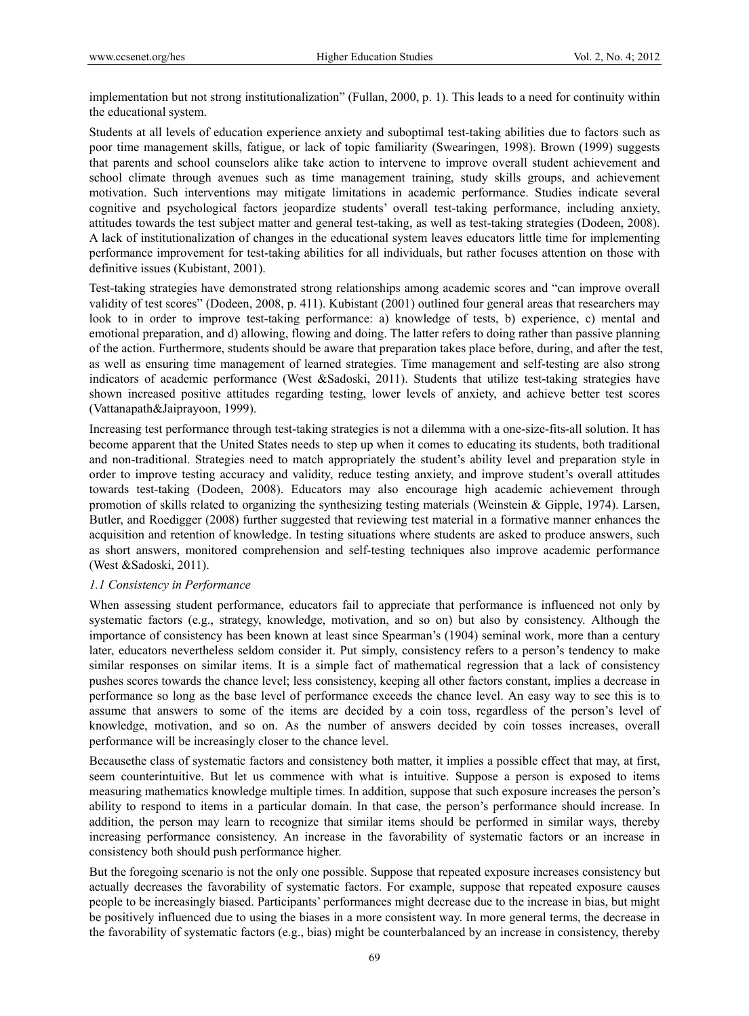implementation but not strong institutionalization" (Fullan, 2000, p. 1). This leads to a need for continuity within the educational system.

Students at all levels of education experience anxiety and suboptimal test-taking abilities due to factors such as poor time management skills, fatigue, or lack of topic familiarity (Swearingen, 1998). Brown (1999) suggests that parents and school counselors alike take action to intervene to improve overall student achievement and school climate through avenues such as time management training, study skills groups, and achievement motivation. Such interventions may mitigate limitations in academic performance. Studies indicate several cognitive and psychological factors jeopardize students' overall test-taking performance, including anxiety, attitudes towards the test subject matter and general test-taking, as well as test-taking strategies (Dodeen, 2008). A lack of institutionalization of changes in the educational system leaves educators little time for implementing performance improvement for test-taking abilities for all individuals, but rather focuses attention on those with definitive issues (Kubistant, 2001).

Test-taking strategies have demonstrated strong relationships among academic scores and "can improve overall validity of test scores" (Dodeen, 2008, p. 411). Kubistant (2001) outlined four general areas that researchers may look to in order to improve test-taking performance: a) knowledge of tests, b) experience, c) mental and emotional preparation, and d) allowing, flowing and doing. The latter refers to doing rather than passive planning of the action. Furthermore, students should be aware that preparation takes place before, during, and after the test, as well as ensuring time management of learned strategies. Time management and self-testing are also strong indicators of academic performance (West &Sadoski, 2011). Students that utilize test-taking strategies have shown increased positive attitudes regarding testing, lower levels of anxiety, and achieve better test scores (Vattanapath&Jaiprayoon, 1999).

Increasing test performance through test-taking strategies is not a dilemma with a one-size-fits-all solution. It has become apparent that the United States needs to step up when it comes to educating its students, both traditional and non-traditional. Strategies need to match appropriately the student's ability level and preparation style in order to improve testing accuracy and validity, reduce testing anxiety, and improve student's overall attitudes towards test-taking (Dodeen, 2008). Educators may also encourage high academic achievement through promotion of skills related to organizing the synthesizing testing materials (Weinstein & Gipple, 1974). Larsen, Butler, and Roedigger (2008) further suggested that reviewing test material in a formative manner enhances the acquisition and retention of knowledge. In testing situations where students are asked to produce answers, such as short answers, monitored comprehension and self-testing techniques also improve academic performance (West &Sadoski, 2011).

## *1.1 Consistency in Performance*

When assessing student performance, educators fail to appreciate that performance is influenced not only by systematic factors (e.g., strategy, knowledge, motivation, and so on) but also by consistency. Although the importance of consistency has been known at least since Spearman's (1904) seminal work, more than a century later, educators nevertheless seldom consider it. Put simply, consistency refers to a person's tendency to make similar responses on similar items. It is a simple fact of mathematical regression that a lack of consistency pushes scores towards the chance level; less consistency, keeping all other factors constant, implies a decrease in performance so long as the base level of performance exceeds the chance level. An easy way to see this is to assume that answers to some of the items are decided by a coin toss, regardless of the person's level of knowledge, motivation, and so on. As the number of answers decided by coin tosses increases, overall performance will be increasingly closer to the chance level.

Becausethe class of systematic factors and consistency both matter, it implies a possible effect that may, at first, seem counterintuitive. But let us commence with what is intuitive. Suppose a person is exposed to items measuring mathematics knowledge multiple times. In addition, suppose that such exposure increases the person's ability to respond to items in a particular domain. In that case, the person's performance should increase. In addition, the person may learn to recognize that similar items should be performed in similar ways, thereby increasing performance consistency. An increase in the favorability of systematic factors or an increase in consistency both should push performance higher.

But the foregoing scenario is not the only one possible. Suppose that repeated exposure increases consistency but actually decreases the favorability of systematic factors. For example, suppose that repeated exposure causes people to be increasingly biased. Participants' performances might decrease due to the increase in bias, but might be positively influenced due to using the biases in a more consistent way. In more general terms, the decrease in the favorability of systematic factors (e.g., bias) might be counterbalanced by an increase in consistency, thereby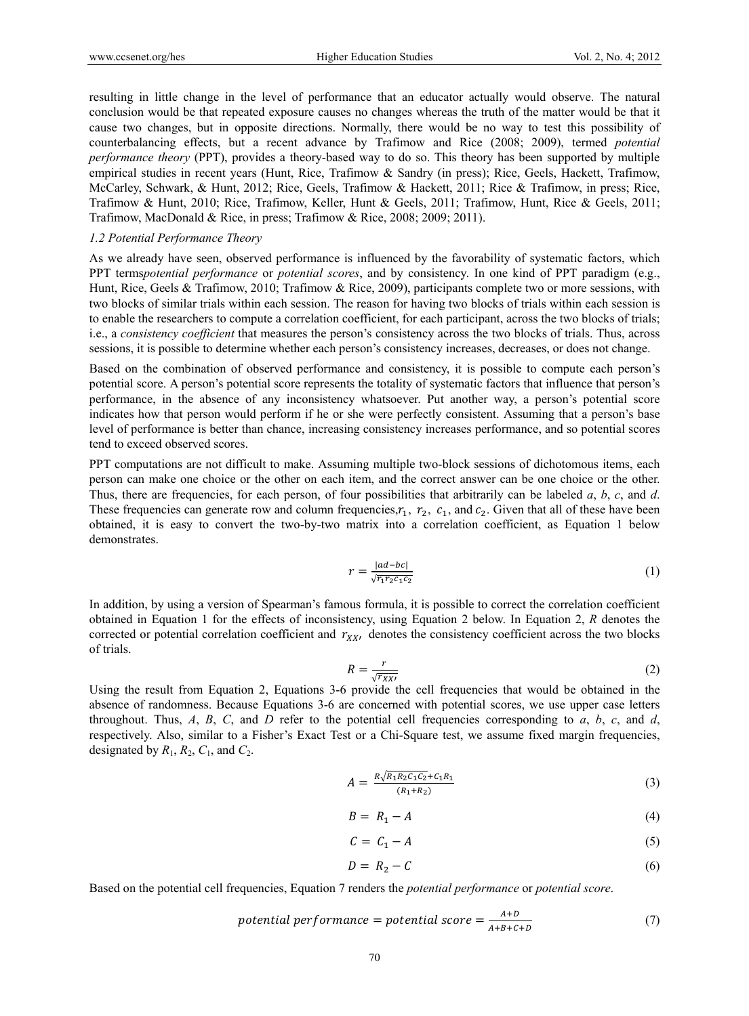resulting in little change in the level of performance that an educator actually would observe. The natural conclusion would be that repeated exposure causes no changes whereas the truth of the matter would be that it cause two changes, but in opposite directions. Normally, there would be no way to test this possibility of counterbalancing effects, but a recent advance by Trafimow and Rice (2008; 2009), termed *potential performance theory* (PPT), provides a theory-based way to do so. This theory has been supported by multiple empirical studies in recent years (Hunt, Rice, Trafimow & Sandry (in press); Rice, Geels, Hackett, Trafimow, McCarley, Schwark, & Hunt, 2012; Rice, Geels, Trafimow & Hackett, 2011; Rice & Trafimow, in press; Rice, Trafimow & Hunt, 2010; Rice, Trafimow, Keller, Hunt & Geels, 2011; Trafimow, Hunt, Rice & Geels, 2011; Trafimow, MacDonald & Rice, in press; Trafimow & Rice, 2008; 2009; 2011).

#### *1.2 Potential Performance Theory*

As we already have seen, observed performance is influenced by the favorability of systematic factors, which PPT terms*potential performance* or *potential scores*, and by consistency. In one kind of PPT paradigm (e.g., Hunt, Rice, Geels & Trafimow, 2010; Trafimow & Rice, 2009), participants complete two or more sessions, with two blocks of similar trials within each session. The reason for having two blocks of trials within each session is to enable the researchers to compute a correlation coefficient, for each participant, across the two blocks of trials; i.e., a *consistency coefficient* that measures the person's consistency across the two blocks of trials. Thus, across sessions, it is possible to determine whether each person's consistency increases, decreases, or does not change.

Based on the combination of observed performance and consistency, it is possible to compute each person's potential score. A person's potential score represents the totality of systematic factors that influence that person's performance, in the absence of any inconsistency whatsoever. Put another way, a person's potential score indicates how that person would perform if he or she were perfectly consistent. Assuming that a person's base level of performance is better than chance, increasing consistency increases performance, and so potential scores tend to exceed observed scores.

PPT computations are not difficult to make. Assuming multiple two-block sessions of dichotomous items, each person can make one choice or the other on each item, and the correct answer can be one choice or the other. Thus, there are frequencies, for each person, of four possibilities that arbitrarily can be labeled *a*, *b*, *c*, and *d*. These frequencies can generate row and column frequencies, $r_1$ ,  $r_2$ ,  $c_1$ , and  $c_2$ . Given that all of these have been obtained, it is easy to convert the two-by-two matrix into a correlation coefficient, as Equation 1 below demonstrates.

$$
r = \frac{|ad - bc|}{\sqrt{r_1 r_2 c_1 c_2}}\tag{1}
$$

In addition, by using a version of Spearman's famous formula, it is possible to correct the correlation coefficient obtained in Equation 1 for the effects of inconsistency, using Equation 2 below. In Equation 2, *R* denotes the corrected or potential correlation coefficient and  $r_{XX}$  denotes the consistency coefficient across the two blocks of trials.

$$
R = \frac{r}{\sqrt{r_{XX'}}}
$$
 (2)

Using the result from Equation 2, Equations 3-6 provide the cell frequencies that would be obtained in the absence of randomness. Because Equations 3-6 are concerned with potential scores, we use upper case letters throughout. Thus,  $A$ ,  $B$ ,  $C$ , and  $D$  refer to the potential cell frequencies corresponding to  $a$ ,  $b$ ,  $c$ , and  $d$ , respectively. Also, similar to a Fisher's Exact Test or a Chi-Square test, we assume fixed margin frequencies, designated by  $R_1$ ,  $R_2$ ,  $C_1$ , and  $C_2$ .

$$
A = \frac{R\sqrt{R_1R_2C_1C_2} + C_1R_1}{(R_1 + R_2)}
$$
(3)

$$
B = R_1 - A \tag{4}
$$

$$
C = C_1 - A \tag{5}
$$

$$
D = R_2 - C \tag{6}
$$

Based on the potential cell frequencies, Equation 7 renders the *potential performance* or *potential score*.

potential performance = potential score = 
$$
\frac{A+D}{A+B+C+D}
$$
 (7)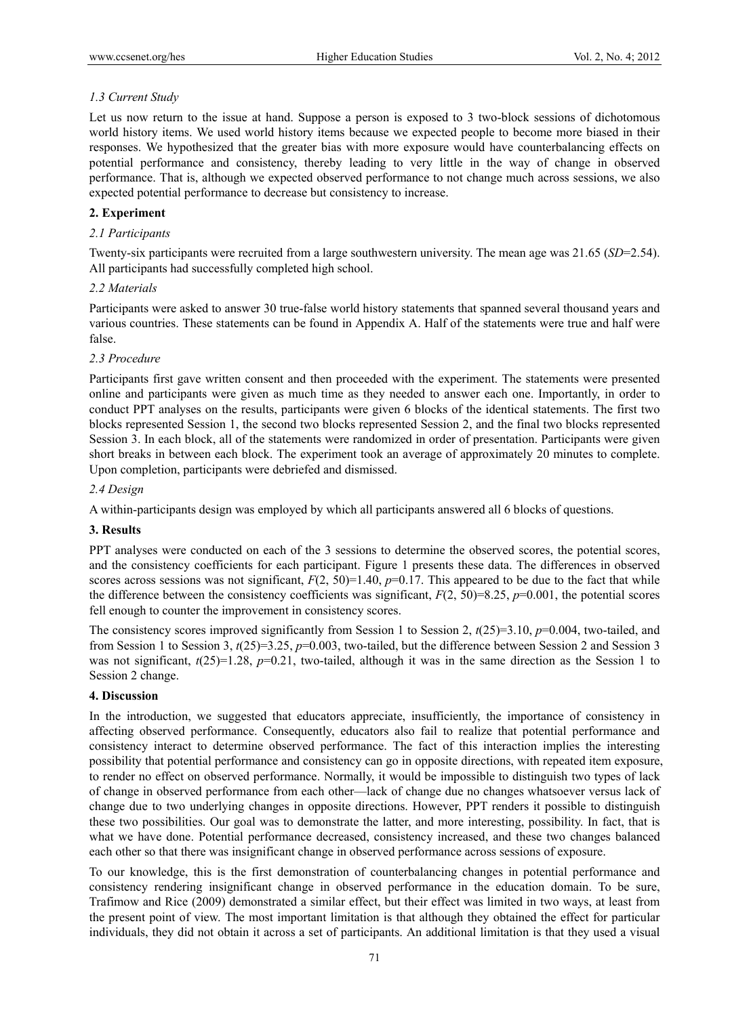# *1.3 Current Study*

Let us now return to the issue at hand. Suppose a person is exposed to 3 two-block sessions of dichotomous world history items. We used world history items because we expected people to become more biased in their responses. We hypothesized that the greater bias with more exposure would have counterbalancing effects on potential performance and consistency, thereby leading to very little in the way of change in observed performance. That is, although we expected observed performance to not change much across sessions, we also expected potential performance to decrease but consistency to increase.

# **2. Experiment**

## *2.1 Participants*

Twenty-six participants were recruited from a large southwestern university. The mean age was 21.65 (*SD*=2.54). All participants had successfully completed high school.

## *2.2 Materials*

Participants were asked to answer 30 true-false world history statements that spanned several thousand years and various countries. These statements can be found in Appendix A. Half of the statements were true and half were false.

## *2.3 Procedure*

Participants first gave written consent and then proceeded with the experiment. The statements were presented online and participants were given as much time as they needed to answer each one. Importantly, in order to conduct PPT analyses on the results, participants were given 6 blocks of the identical statements. The first two blocks represented Session 1, the second two blocks represented Session 2, and the final two blocks represented Session 3. In each block, all of the statements were randomized in order of presentation. Participants were given short breaks in between each block. The experiment took an average of approximately 20 minutes to complete. Upon completion, participants were debriefed and dismissed.

# *2.4 Design*

A within-participants design was employed by which all participants answered all 6 blocks of questions.

## **3. Results**

PPT analyses were conducted on each of the 3 sessions to determine the observed scores, the potential scores, and the consistency coefficients for each participant. Figure 1 presents these data. The differences in observed scores across sessions was not significant,  $F(2, 50)=1.40$ ,  $p=0.17$ . This appeared to be due to the fact that while the difference between the consistency coefficients was significant,  $F(2, 50)=8.25$ ,  $p=0.001$ , the potential scores fell enough to counter the improvement in consistency scores.

The consistency scores improved significantly from Session 1 to Session 2, *t*(25)=3.10, *p*=0.004, two-tailed, and from Session 1 to Session 3, *t*(25)=3.25, *p*=0.003, two-tailed, but the difference between Session 2 and Session 3 was not significant,  $t(25)=1.28$ ,  $p=0.21$ , two-tailed, although it was in the same direction as the Session 1 to Session 2 change.

## **4. Discussion**

In the introduction, we suggested that educators appreciate, insufficiently, the importance of consistency in affecting observed performance. Consequently, educators also fail to realize that potential performance and consistency interact to determine observed performance. The fact of this interaction implies the interesting possibility that potential performance and consistency can go in opposite directions, with repeated item exposure, to render no effect on observed performance. Normally, it would be impossible to distinguish two types of lack of change in observed performance from each other—lack of change due no changes whatsoever versus lack of change due to two underlying changes in opposite directions. However, PPT renders it possible to distinguish these two possibilities. Our goal was to demonstrate the latter, and more interesting, possibility. In fact, that is what we have done. Potential performance decreased, consistency increased, and these two changes balanced each other so that there was insignificant change in observed performance across sessions of exposure.

To our knowledge, this is the first demonstration of counterbalancing changes in potential performance and consistency rendering insignificant change in observed performance in the education domain. To be sure, Trafimow and Rice (2009) demonstrated a similar effect, but their effect was limited in two ways, at least from the present point of view. The most important limitation is that although they obtained the effect for particular individuals, they did not obtain it across a set of participants. An additional limitation is that they used a visual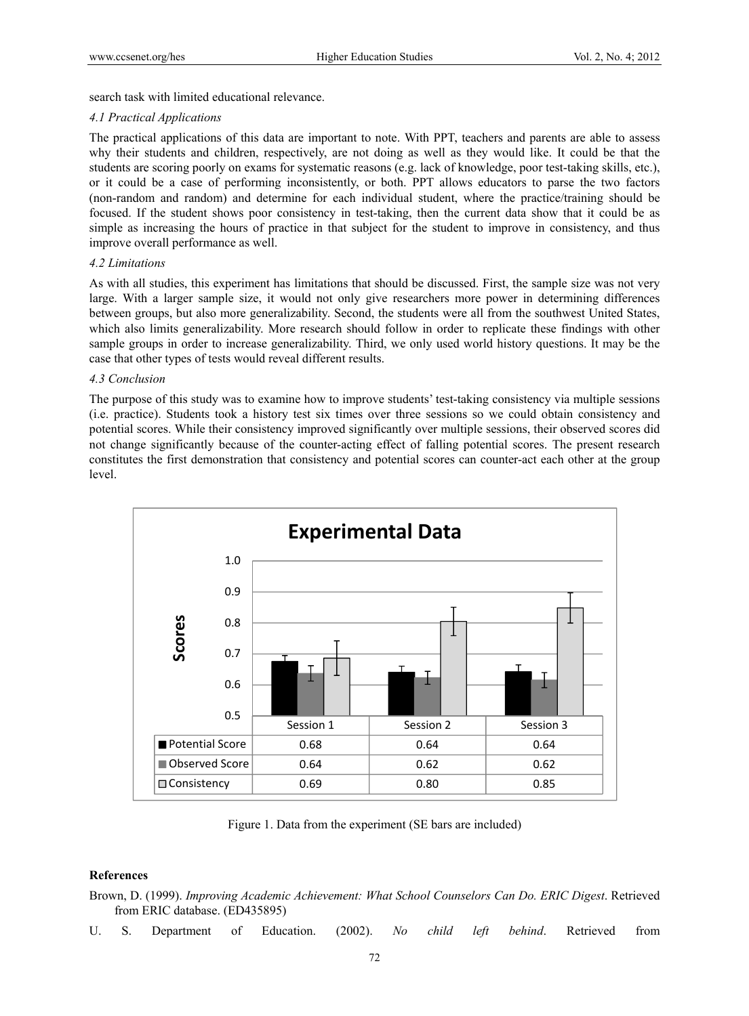search task with limited educational relevance.

#### *4.1 Practical Applications*

The practical applications of this data are important to note. With PPT, teachers and parents are able to assess why their students and children, respectively, are not doing as well as they would like. It could be that the students are scoring poorly on exams for systematic reasons (e.g. lack of knowledge, poor test-taking skills, etc.), or it could be a case of performing inconsistently, or both. PPT allows educators to parse the two factors (non-random and random) and determine for each individual student, where the practice/training should be focused. If the student shows poor consistency in test-taking, then the current data show that it could be as simple as increasing the hours of practice in that subject for the student to improve in consistency, and thus improve overall performance as well.

#### *4.2 Limitations*

As with all studies, this experiment has limitations that should be discussed. First, the sample size was not very large. With a larger sample size, it would not only give researchers more power in determining differences between groups, but also more generalizability. Second, the students were all from the southwest United States, which also limits generalizability. More research should follow in order to replicate these findings with other sample groups in order to increase generalizability. Third, we only used world history questions. It may be the case that other types of tests would reveal different results.

#### *4.3 Conclusion*

The purpose of this study was to examine how to improve students' test-taking consistency via multiple sessions (i.e. practice). Students took a history test six times over three sessions so we could obtain consistency and potential scores. While their consistency improved significantly over multiple sessions, their observed scores did not change significantly because of the counter-acting effect of falling potential scores. The present research constitutes the first demonstration that consistency and potential scores can counter-act each other at the group level.



Figure 1. Data from the experiment (SE bars are included)

## **References**

- Brown, D. (1999). *Improving Academic Achievement: What School Counselors Can Do. ERIC Digest*. Retrieved from ERIC database. (ED435895)
- U. S. Department of Education. (2002). *No child left behind*. Retrieved from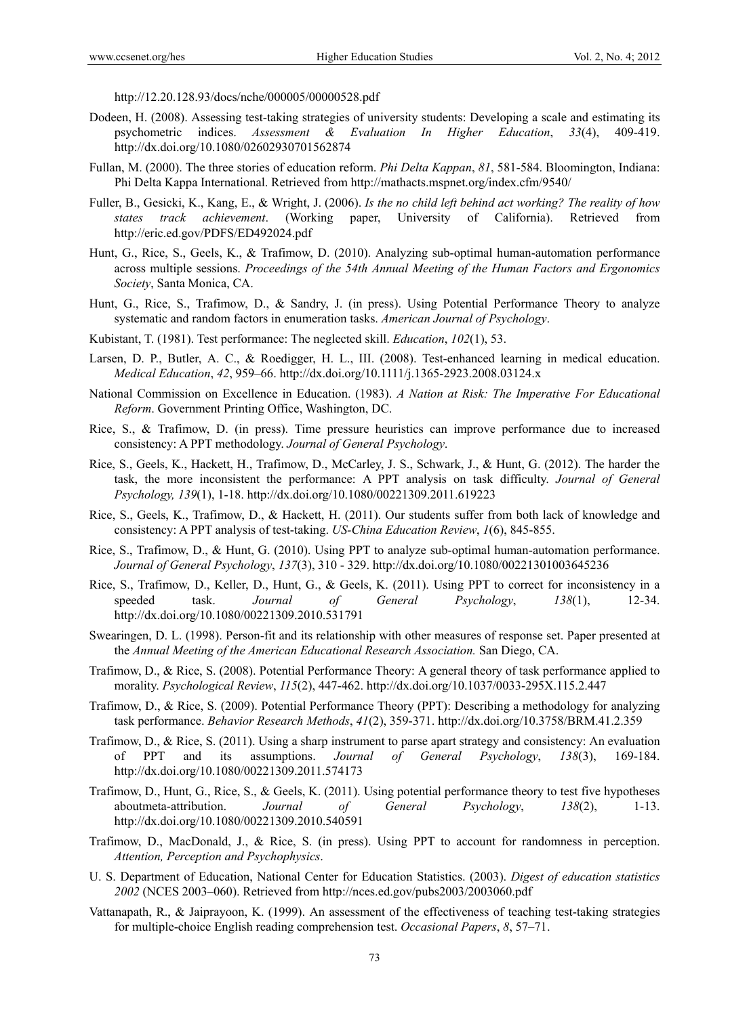http://12.20.128.93/docs/nche/000005/00000528.pdf

- Dodeen, H. (2008). Assessing test-taking strategies of university students: Developing a scale and estimating its psychometric indices. *Assessment & Evaluation In Higher Education*, *33*(4), 409-419. http://dx.doi.org/10.1080/02602930701562874
- Fullan, M. (2000). The three stories of education reform. *Phi Delta Kappan*, *81*, 581-584. Bloomington, Indiana: Phi Delta Kappa International. Retrieved from http://mathacts.mspnet.org/index.cfm/9540/
- Fuller, B., Gesicki, K., Kang, E., & Wright, J. (2006). *Is the no child left behind act working? The reality of how states track achievement*. (Working paper, University of California). Retrieved from http://eric.ed.gov/PDFS/ED492024.pdf
- Hunt, G., Rice, S., Geels, K., & Trafimow, D. (2010). Analyzing sub-optimal human-automation performance across multiple sessions. *Proceedings of the 54th Annual Meeting of the Human Factors and Ergonomics Society*, Santa Monica, CA.
- Hunt, G., Rice, S., Trafimow, D., & Sandry, J. (in press). Using Potential Performance Theory to analyze systematic and random factors in enumeration tasks. *American Journal of Psychology*.
- Kubistant, T. (1981). Test performance: The neglected skill. *Education*, *102*(1), 53.
- Larsen, D. P., Butler, A. C., & Roedigger, H. L., III. (2008). Test-enhanced learning in medical education. *Medical Education*, *42*, 959–66. http://dx.doi.org/10.1111/j.1365-2923.2008.03124.x
- National Commission on Excellence in Education. (1983). *A Nation at Risk: The Imperative For Educational Reform*. Government Printing Office, Washington, DC.
- Rice, S., & Trafimow, D. (in press). Time pressure heuristics can improve performance due to increased consistency: A PPT methodology. *Journal of General Psychology*.
- Rice, S., Geels, K., Hackett, H., Trafimow, D., McCarley, J. S., Schwark, J., & Hunt, G. (2012). The harder the task, the more inconsistent the performance: A PPT analysis on task difficulty. *Journal of General Psychology, 139*(1), 1-18. http://dx.doi.org/10.1080/00221309.2011.619223
- Rice, S., Geels, K., Trafimow, D., & Hackett, H. (2011). Our students suffer from both lack of knowledge and consistency: A PPT analysis of test-taking. *US-China Education Review*, *1*(6), 845-855.
- Rice, S., Trafimow, D., & Hunt, G. (2010). Using PPT to analyze sub-optimal human-automation performance. *Journal of General Psychology*, *137*(3), 310 - 329. http://dx.doi.org/10.1080/00221301003645236
- Rice, S., Trafimow, D., Keller, D., Hunt, G., & Geels, K. (2011). Using PPT to correct for inconsistency in a speeded task. *Journal of General Psychology*, *138*(1), 12-34. http://dx.doi.org/10.1080/00221309.2010.531791
- Swearingen, D. L. (1998). Person-fit and its relationship with other measures of response set. Paper presented at the *Annual Meeting of the American Educational Research Association.* San Diego, CA.
- Trafimow, D., & Rice, S. (2008). Potential Performance Theory: A general theory of task performance applied to morality. *Psychological Review*, *115*(2), 447-462. http://dx.doi.org/10.1037/0033-295X.115.2.447
- Trafimow, D., & Rice, S. (2009). Potential Performance Theory (PPT): Describing a methodology for analyzing task performance. *Behavior Research Methods*, *41*(2), 359-371. http://dx.doi.org/10.3758/BRM.41.2.359
- Trafimow, D., & Rice, S. (2011). Using a sharp instrument to parse apart strategy and consistency: An evaluation of PPT and its assumptions. *Journal of General Psychology*, *138*(3), 169-184. http://dx.doi.org/10.1080/00221309.2011.574173
- Trafimow, D., Hunt, G., Rice, S., & Geels, K. (2011). Using potential performance theory to test five hypotheses aboutmeta-attribution. *Journal of General Psychology*, *138*(2), 1-13. http://dx.doi.org/10.1080/00221309.2010.540591
- Trafimow, D., MacDonald, J., & Rice, S. (in press). Using PPT to account for randomness in perception. *Attention, Perception and Psychophysics*.
- U. S. Department of Education, National Center for Education Statistics. (2003). *Digest of education statistics 2002* (NCES 2003–060). Retrieved from http://nces.ed.gov/pubs2003/2003060.pdf
- Vattanapath, R., & Jaiprayoon, K. (1999). An assessment of the effectiveness of teaching test-taking strategies for multiple-choice English reading comprehension test. *Occasional Papers*, *8*, 57–71.